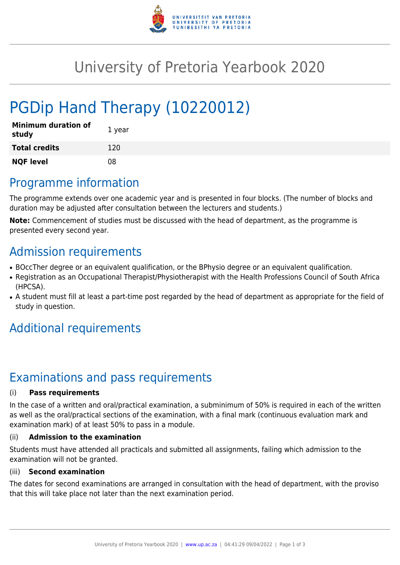

## University of Pretoria Yearbook 2020

# PGDip Hand Therapy (10220012)

| <b>Minimum duration of</b><br>study | 1 year |
|-------------------------------------|--------|
| <b>Total credits</b>                | 120    |
| <b>NQF level</b>                    | 08     |

### Programme information

The programme extends over one academic year and is presented in four blocks. (The number of blocks and duration may be adjusted after consultation between the lecturers and students.)

**Note:** Commencement of studies must be discussed with the head of department, as the programme is presented every second year.

### Admission requirements

- BOccTher degree or an equivalent qualification, or the BPhysio degree or an equivalent qualification.
- Registration as an Occupational Therapist/Physiotherapist with the Health Professions Council of South Africa (HPCSA).
- A student must fill at least a part-time post regarded by the head of department as appropriate for the field of study in question.

### Additional requirements

## Examinations and pass requirements

#### (i) **Pass requirements**

In the case of a written and oral/practical examination, a subminimum of 50% is required in each of the written as well as the oral/practical sections of the examination, with a final mark (continuous evaluation mark and examination mark) of at least 50% to pass in a module.

#### (ii) **Admission to the examination**

Students must have attended all practicals and submitted all assignments, failing which admission to the examination will not be granted.

#### (iii) **Second examination**

The dates for second examinations are arranged in consultation with the head of department, with the proviso that this will take place not later than the next examination period.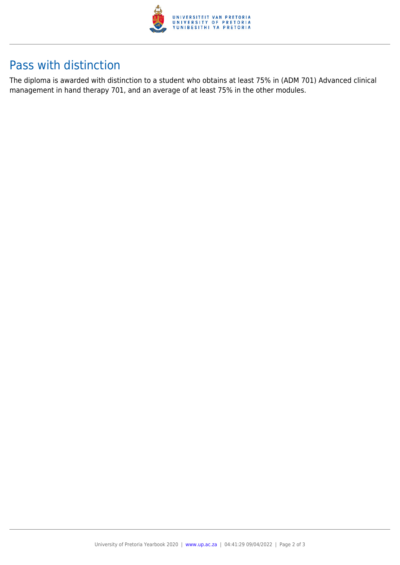

### Pass with distinction

The diploma is awarded with distinction to a student who obtains at least 75% in (ADM 701) Advanced clinical management in hand therapy 701, and an average of at least 75% in the other modules.